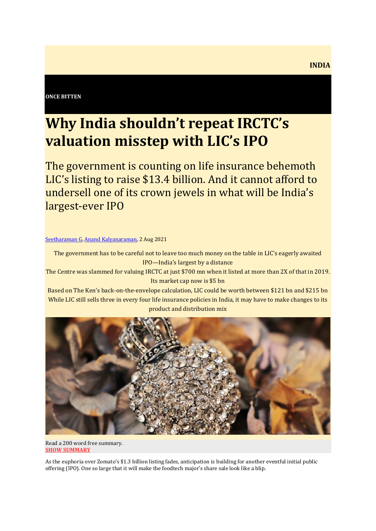#### **ONCE BITTEN**

## **Why India shouldn't repeat IRCTC's valuation misstep with LIC's IPO**

The government is counting on life insurance behemoth LIC's listing to raise \$13.4 billion. And it cannot afford to undersell one of its crown jewels in what will be India's largest-ever IPO

#### [Seetharaman G,](https://the-ken.com/writers/seetharamang/) [Anand Kalyanaraman,](https://the-ken.com/writers/anandthe-ken-com/) 2 Aug 2021

The government has to be careful not to leave too much money on the table in LIC's eagerly awaited IPO—India's largest by a distance

The Centre was slammed for valuing IRCTC at just \$700 mn when it listed at more than 2X of that in 2019. Its market cap now is \$5 bn

Based on The Ken's back-on-the-envelope calculation, LIC could be worth between \$121 bn and \$215 bn While LIC still sells three in every four life insurance policies in India, it may have to make changes to its product and distribution mix



Read a 200 word free summary. **[SHOW SUMMARY](https://the-ken.com/story/why-india-shouldnt-repeat-irctcs-valuation-misstep-with-lics-ipo/)**

As the euphoria over Zomato's \$1.3 billion listing fades, anticipation is building for another eventful initial public offering (IPO). One so large that it will make the foodtech major's share sale look like a blip.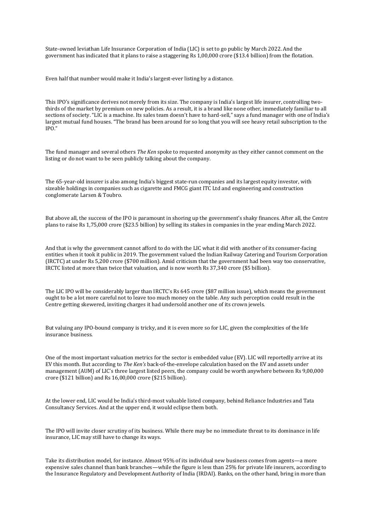State-owned leviathan Life Insurance Corporation of India (LIC) is set to go public by March 2022. And the government has indicated that it plans to raise a staggering Rs 1,00,000 crore (\$13.4 billion) from the flotation.

Even half that number would make it India's largest-ever listing by a distance.

This IPO's significance derives not merely from its size. The company is India's largest life insurer, controlling twothirds of the market by premium on new policies. As a result, it is a brand like none other, immediately familiar to all sections of society. "LIC is a machine. Its sales team doesn't have to hard-sell," says a fund manager with one of India's largest mutual fund houses. "The brand has been around for so long that you will see heavy retail subscription to the IPO."

The fund manager and several others *The Ken* spoke to requested anonymity as they either cannot comment on the listing or do not want to be seen publicly talking about the company.

The 65-year-old insurer is also among India's biggest state-run companies and its largest equity investor, with sizeable holdings in companies such as cigarette and FMCG giant ITC Ltd and engineering and construction conglomerate Larsen & Toubro.

But above all, the success of the IPO is paramount in shoring up the government's shaky finances. After all, the Centre plans to raise Rs 1,75,000 crore (\$23.5 billion) by selling its stakes in companies in the year ending March 2022.

And that is why the government cannot afford to do with the LIC what it did with another of its consumer-facing entities when it took it public in 2019. The government valued the Indian Railway Catering and Tourism Corporation (IRCTC) at under Rs 5,200 crore (\$700 million). Amid criticism that the government had been way too conservative, IRCTC listed at more than twice that valuation, and is now worth Rs 37,340 crore (\$5 billion).

The LIC IPO will be considerably larger than IRCTC's Rs 645 crore (\$87 million issue), which means the government ought to be a lot more careful not to leave too much money on the table. Any such perception could result in the Centre getting skewered, inviting charges it had undersold another one of its crown jewels.

But valuing any IPO-bound company is tricky, and it is even more so for LIC, given the complexities of the life insurance business.

One of the most important valuation metrics for the sector is embedded value (EV). LIC will reportedly arrive at its EV this month. But according to *The Ken's* back-of-the-envelope calculation based on the EV and assets under management (AUM) of LIC's three largest listed peers, the company could be worth anywhere between Rs 9,00,000 crore (\$121 billion) and Rs 16,00,000 crore (\$215 billion).

At the lower end, LIC would be India's third-most valuable listed company, behind Reliance Industries and Tata Consultancy Services. And at the upper end, it would eclipse them both.

The IPO will invite closer scrutiny of its business. While there may be no immediate threat to its dominance in life insurance, LIC may still have to change its ways.

Take its distribution model, for instance. Almost 95% of its individual new business comes from agents—a more expensive sales channel than bank branches—while the figure is less than 25% for private life insurers, according to the Insurance Regulatory and Development Authority of India (IRDAI). Banks, on the other hand, bring in more than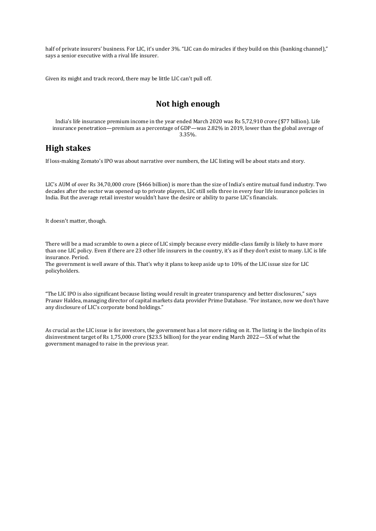half of private insurers' business. For LIC, it's under 3%. "LIC can do miracles if they build on this (banking channel)," says a senior executive with a rival life insurer.

Given its might and track record, there may be little LIC can't pull off.

### **Not high enough**

India's life insurance premium income in the year ended March 2020 was Rs 5,72,910 crore (\$77 billion). Life insurance penetration—premium as a percentage of GDP—was 2.82% in 2019, lower than the global average of 3.35%.

#### **High stakes**

If loss-making Zomato's IPO was about narrative over numbers, the LIC listing will be about stats and story.

LIC's AUM of over Rs 34,70,000 crore (\$466 billion) is more than the size of India's entire mutual fund industry. Two decades after the sector was opened up to private players, LIC still sells three in every four life insurance policies in India. But the average retail investor wouldn't have the desire or ability to parse LIC's financials.

It doesn't matter, though.

There will be a mad scramble to own a piece of LIC simply because every middle-class family is likely to have more than one LIC policy. Even if there are 23 other life insurers in the country, it's as if they don't exist to many. LIC is life insurance. Period.

The government is well aware of this. That's why it plans to keep aside up to 10% of the LIC issue size for LIC policyholders.

"The LIC IPO is also significant because listing would result in greater transparency and better disclosures," says Pranav Haldea, managing director of capital markets data provider Prime Database. "For instance, now we don't have any disclosure of LIC's corporate bond holdings."

As crucial as the LIC issue is for investors, the government has a lot more riding on it. The listing is the linchpin of its disinvestment target of Rs 1,75,000 crore (\$23.5 billion) for the year ending March 2022—5X of what the government managed to raise in the previous year.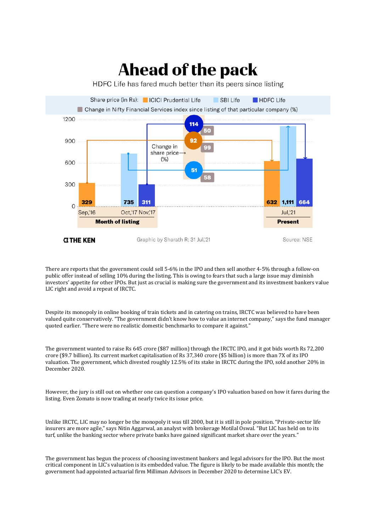# **Ahead of the pack**

HDFC Life has fared much better than its peers since listing



There are reports that the government could sell 5-6% in the IPO and then sell another 4-5% through a follow-on public offer instead of selling 10% during the listing. This is owing to fears that such a large issue may diminish investors' appetite for other IPOs. But just as crucial is making sure the government and its investment bankers value LIC right and avoid a repeat of IRCTC.

Despite its monopoly in online booking of train tickets and in catering on trains, IRCTC was believed to have been valued quite conservatively. "The government didn't know how to value an internet company," says the fund manager quoted earlier. "There were no realistic domestic benchmarks to compare it against."

The government wanted to raise Rs 645 crore (\$87 million) through the IRCTC IPO, and it got bids worth Rs 72,200 crore (\$9.7 billion). Its current market capitalisation of Rs 37,340 crore (\$5 billion) is more than 7X of its IPO valuation. The government, which divested roughly 12.5% of its stake in IRCTC during the IPO, sold another 20% in December 2020.

However, the jury is still out on whether one can question a company's IPO valuation based on how it fares during the listing. Even Zomato is now trading at nearly twice its issue price.

Unlike IRCTC, LIC may no longer be the monopoly it was till 2000, but it is still in pole position. "Private-sector life insurers are more agile," says Nitin Aggarwal, an analyst with brokerage Motilal Oswal. "But LIC has held on to its turf, unlike the banking sector where private banks have gained significant market share over the years."

The government has begun the process of choosing investment bankers and legal advisors for the IPO. But the most critical component in LIC's valuation is its embedded value. The figure is likely to be made available this month; the government had appointed actuarial firm Milliman Advisors in December 2020 to determine LIC's EV.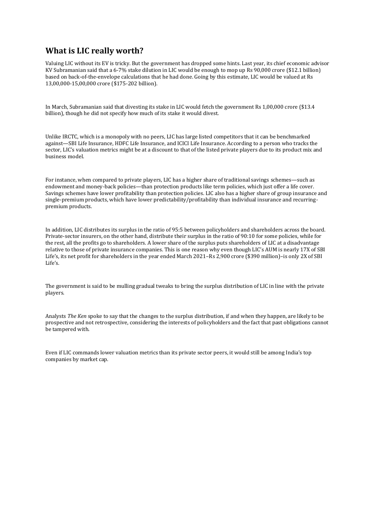#### **What is LIC really worth?**

Valuing LIC without its EV is tricky. But the government has dropped some hints. Last year, its chief economic advisor KV Subramanian said that a 6-7% stake dilution in LIC would be enough to mop up Rs 90,000 crore (\$12.1 billion) based on back-of-the-envelope calculations that he had done. Going by this estimate, LIC would be valued at Rs 13,00,000-15,00,000 crore (\$175-202 billion).

In March, Subramanian said that divesting its stake in LIC would fetch the government Rs 1,00,000 crore (\$13.4 billion), though he did not specify how much of its stake it would divest.

Unlike IRCTC, which is a monopoly with no peers, LIC has large listed competitors that it can be benchmarked against—SBI Life Insurance, HDFC Life Insurance, and ICICI Life Insurance. According to a person who tracks the sector, LIC's valuation metrics might be at a discount to that of the listed private players due to its product mix and business model.

For instance, when compared to private players, LIC has a higher share of traditional savings schemes—such as endowment and money-back policies—than protection products like term policies, which just offer a life cover. Savings schemes have lower profitability than protection policies. LIC also has a higher share of group insurance and single-premium products, which have lower predictability/profitability than individual insurance and recurringpremium products.

In addition, LIC distributes its surplus in the ratio of 95:5 between policyholders and shareholders across the board. Private-sector insurers, on the other hand, distribute their surplus in the ratio of 90:10 for some policies, while for the rest, all the profits go to shareholders. A lower share of the surplus puts shareholders of LIC at a disadvantage relative to those of private insurance companies. This is one reason why even though LIC's AUM is nearly 17X of SBI Life's, its net profit for shareholders in the year ended March 2021–Rs 2,900 crore (\$390 million)–is only 2X of SBI  $L$ ife's.

The government is said to be mulling gradual tweaks to bring the surplus distribution of LIC in line with the private players.

Analysts *The Ken* spoke to say that the changes to the surplus distribution, if and when they happen, are likely to be prospective and not retrospective, considering the interests of policyholders and the fact that past obligations cannot be tampered with.

Even if LIC commands lower valuation metrics than its private sector peers, it would still be among India's top companies by market cap.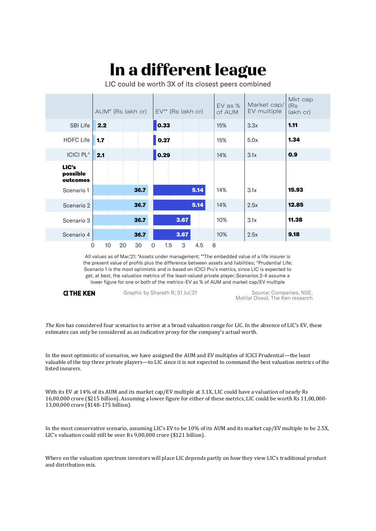# In a different league

LIC could be worth 3X of its closest peers combined

|                               | AUM* (Rs lakh cr) |      | EV** (Rs lakh cr)                          | EV as %<br>of AUM | Market cap/<br>EV multiple | Mkt cap<br>(Rs<br>lakh cr) |
|-------------------------------|-------------------|------|--------------------------------------------|-------------------|----------------------------|----------------------------|
| SBI Life                      | 2.2               |      | 0.33                                       | 15%               | 3.3x                       | 1.11                       |
| <b>HDFC Life</b>              | 1.7               |      | 0.27                                       | 15%               | 5.0x                       | 1.34                       |
| ICICI PL^                     | 2.1               |      | 0.29                                       | 14%               | 3.1x                       | 0.9                        |
| LIC's<br>possible<br>outcomes |                   |      |                                            |                   |                            |                            |
| Scenario 1                    |                   | 36.7 | 5.14                                       | 14%               | 3.1x                       | 15.93                      |
| Scenario 2                    |                   | 36.7 | 5.14                                       | 14%               | 2.5x                       | 12.85                      |
| Scenario 3                    |                   | 36.7 | <b><i><u>Communication</u></i></b><br>3.67 | 10%               | 3.1x                       | 11.38                      |
| Scenario 4                    |                   | 36.7 | 3.67                                       | 10%               | 2.5x                       | 9.18                       |

All values as of Mar,'21; \*Assets under management; \*\*The embedded value of a life insurer is the present value of profits plus the difference between assets and liabilities; "Prudential Life; Scenario 1 is the most optimistic and is based on ICICI Pru's metrics, since LIC is expected to get, at best, the valuation metrics of the least-valued private player; Scenarios 2-4 assume a lower figure for one or both of the metrics-EV as % of AUM and market cap/EV multiple

#### **GTHE KEN**

Graphic by Sharath R; 31 Jul,'21

Source: Companies, NSE. Motilal Oswal, The Ken research

*The Ken* has considered four scenarios to arrive at a broad valuation range for LIC. In the absence of LIC's EV, these estimates can only be considered as an indicative proxy for the company's actual worth.

In the most optimistic of scenarios, we have assigned the AUM and EV multiples of ICICI Prudential—the least valuable of the top three private players—to LIC since it is not expected to command the best valuation metrics of the listed insurers.

With its EV at 14% of its AUM and its market cap/EV multiple at 3.1X, LIC could have a valuation of nearly Rs 16,00,000 crore (\$215 billion). Assuming a lower figure for either of these metrics, LIC could be worth Rs 11,00,000- 13,00,000 crore (\$148-175 billion).

In the most conservative scenario, assuming LIC's EV to be 10% of its AUM and its market cap/EV multiple to be 2.5X, LIC's valuation could still be over Rs 9,00,000 crore (\$121 billion).

Where on the valuation spectrum investors will place LIC depends partly on how they view LIC's traditional product and distribution mix.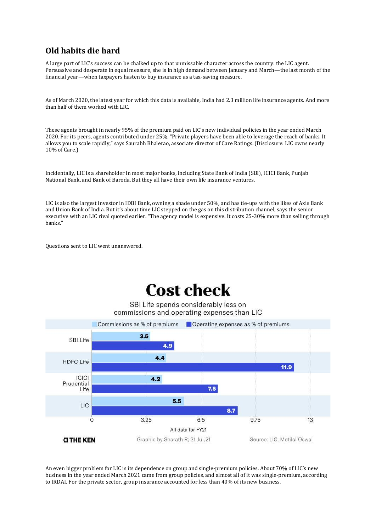## **Old habits die hard**

A large part of LIC's success can be chalked up to that unmissable character across the country: the LIC agent. Persuasive and desperate in equal measure, she is in high demand between January and March—the last month of the financial year—when taxpayers hasten to buy insurance as a tax-saving measure.

As of March 2020, the latest year for which this data is available, India had 2.3 million life insurance agents. And more than half of them worked with LIC.

These agents brought in nearly 95% of the premium paid on LIC's new individual policies in the year ended March 2020. For its peers, agents contributed under 25%. "Private players have been able to leverage the reach of banks. It allows you to scale rapidly," says Saurabh Bhalerao, associate director of Care Ratings. (Disclosure: LIC owns nearly 10% of Care.)

Incidentally, LIC is a shareholder in most major banks, including State Bank of India (SBI), ICICI Bank, Punjab National Bank, and Bank of Baroda. But they all have their own life insurance ventures.

LIC is also the largest investor in IDBI Bank, owning a shade under 50%, and has tie-ups with the likes of Axis Bank and Union Bank of India. But it's about time LIC stepped on the gas on this distribution channel, says the senior executive with an LIC rival quoted earlier. "The agency model is expensive. It costs 25-30% more than selling through banks."

Questions sent to LIC went unanswered.

## **Cost check**

SBI Life spends considerably less on commissions and operating expenses than LIC



An even bigger problem for LIC is its dependence on group and single-premium policies. About 70% of LIC's new business in the year ended March 2021 came from group policies, and almost all of it was single-premium, according to IRDAI. For the private sector, group insurance accounted for less than 40% of its new business.